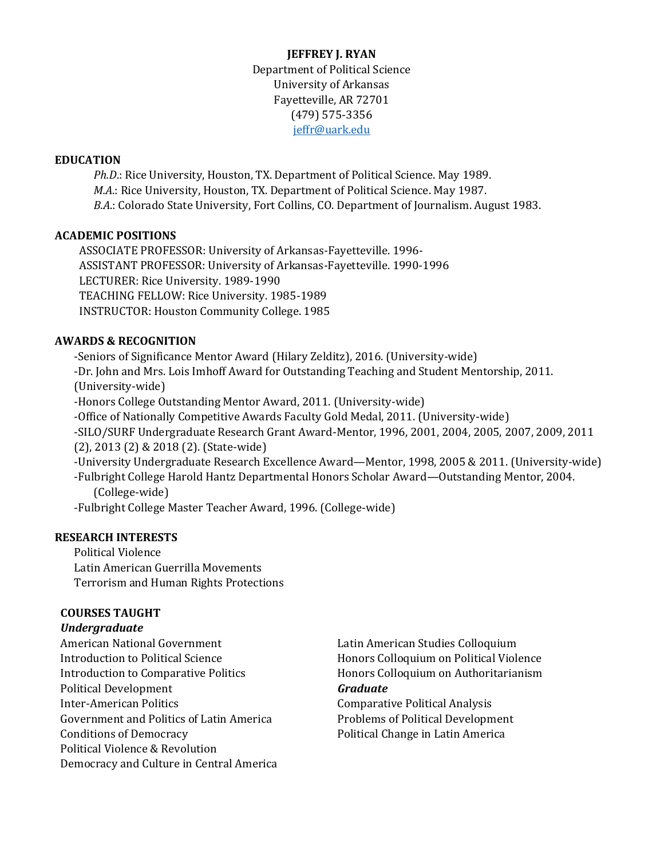**JEFFREY J. RYAN** Department of Political Science University of Arkansas Fayetteville, AR 72701 (479) 575-3356 [jeffr@uark.edu](mailto:jeffr@uark.edu)

### **EDUCATION**

*Ph.D*.: Rice University, Houston, TX. Department of Political Science. May 1989. *M.A*.: Rice University, Houston, TX. Department of Political Science. May 1987. *B.A*.: Colorado State University, Fort Collins, CO. Department of Journalism. August 1983.

### **ACADEMIC POSITIONS**

ASSOCIATE PROFESSOR: University of Arkansas-Fayetteville. 1996- ASSISTANT PROFESSOR: University of Arkansas-Fayetteville. 1990-1996 LECTURER: Rice University. 1989-1990 TEACHING FELLOW: Rice University. 1985-1989 INSTRUCTOR: Houston Community College. 1985

### **AWARDS & RECOGNITION**

-Seniors of Significance Mentor Award (Hilary Zelditz), 2016. (University-wide) -Dr. John and Mrs. Lois Imhoff Award for Outstanding Teaching and Student Mentorship, 2011. (University-wide) -Honors College Outstanding Mentor Award, 2011. (University-wide) -Office of Nationally Competitive Awards Faculty Gold Medal, 2011. (University-wide) -SILO/SURF Undergraduate Research Grant Award-Mentor, 1996, 2001, 2004, 2005, 2007, 2009, 2011 (2), 2013 (2) & 2018 (2). (State-wide) -University Undergraduate Research Excellence Award—Mentor, 1998, 2005 & 2011. (University-wide) -Fulbright College Harold Hantz Departmental Honors Scholar Award—Outstanding Mentor, 2004. (College-wide) -Fulbright College Master Teacher Award, 1996. (College-wide)

### **RESEARCH INTERESTS**

Political Violence Latin American Guerrilla Movements Terrorism and Human Rights Protections

#### **COURSES TAUGHT**

#### *Undergraduate*

| <b>American National Government</b>         | Latin American Studies Colloquium       |
|---------------------------------------------|-----------------------------------------|
| <b>Introduction to Political Science</b>    | Honors Colloquium on Political Violence |
| <b>Introduction to Comparative Politics</b> | Honors Colloquium on Authoritarianism   |
| <b>Political Development</b>                | <b>Graduate</b>                         |
| <b>Inter-American Politics</b>              | <b>Comparative Political Analysis</b>   |
| Government and Politics of Latin America    | Problems of Political Development       |
| <b>Conditions of Democracy</b>              | Political Change in Latin America       |
| Political Violence & Revolution             |                                         |
| Democracy and Culture in Central America    |                                         |